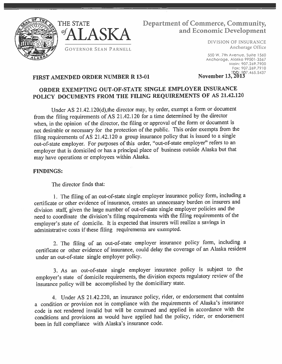



# THE STATE Department of Commerce, Community, and Economic Development<br>DIVISION OF INSURANCE

550 W. 7th Avenue, Suite 1560 Anchorage, Alaska 99501-3567 Main: 907.269.7900 Fax: 907.269.7910<br>TDD: 907.465.5437<br>November 13, 2013

## FIRST AMENDED ORDER NUMBER R 13-01

## ORDER EXEMPTING OUT-OF-STATE SINGLE EMPLOYER INSURANCE POLICY DOCUMENTS FROM THE FILING REQUIREMENTS OF AS 21.42.120

Under AS 21.42.120(d),the director may, by order, exemp<sup>t</sup> <sup>a</sup> form or document from the filing requirements of AS 21.42.120 for <sup>a</sup> time determined by the director when, in the opinion of the director, the filing or approva<sup>l</sup> of the form or document is not desirable or necessary for the protection of the public. This order exempts from the filing requirements of AS 21.42.120 <sup>a</sup> group insurance policy that is issued to <sup>a</sup> single out-of-state employer. For purposes of this order, "out-of-state employer" refers to an employer that is domiciled or has <sup>a</sup> principal <sup>p</sup>lace of business outside Alaska but that may have operations or employees within Alaska.

### FINDINGS:

The director finds that:

1. The filing of an out-of-state single employer insurance policy form, including <sup>a</sup> certificate or other evidence of insurance, creates an unnecessary burden on insurers and division staff, given the large number of out-of-state single employer policies and the need to coordinate the division's filing requirements with the filing requirements of the employer's state of domicile. It is expected that insurers will realize <sup>a</sup> savings in administrative costs if these filing requirements are exempted.

2. The filing of an out-of-state employer insurance policy form, including <sup>a</sup> certificate or other evidence of insurance, could delay the coverage of an Alaska resident under an out-of-state single employer policy.

3. As an out-of-state single employer insurance policy is subject to the employer's state of domicile requirements, the division expects regulatory review of the insurance policy will be accomplished by the domiciliary state.

4. Under AS 21.42.220, an insurance policy, rider, or endorsement that contains <sup>a</sup> condition or provision not in compliance with the requirements of Alaska's insurance code is not rendered invalid but will be construed and applied in accordance with the conditions and provisions as would have applied had the policy, rider, or endorsement been in full compliance with Alaska's insurance code.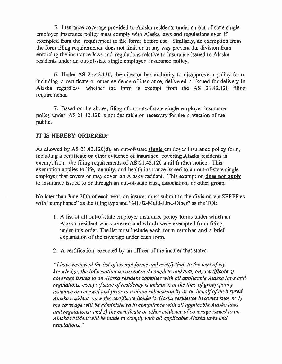5. Insurance coverage provided to Alaska residents under an out-of state single employer insurance policy must comply with Alaska laws and regulations even if exempted from the requirement to file forms before use. Similarly, an exemption from the form filing requirements does not limit or in any way preven<sup>t</sup> the division from enforcing the insurance laws and regulations relative to insurance issued to Alaska residents under an out-of-state single employer insurance policy.

6. Under AS 21.42.130, the director has authority to disapprove <sup>a</sup> policy form, including a certificate or other evidence of insurance, delivered or issued for delivery in Alaska regardless whether the form is exempt from the AS 21.42.120 filing requirements.

7. Based on the above, filing of an out-of state single employer insurance policy under AS 21.42.120 is not desirable or necessary for the protection of the public.

### IT IS HEREBY ORDERED:

As allowed by AS  $21.42.120(d)$ , an out-of-state single employer insurance policy form, including <sup>a</sup> certificate or other evidence of insurance, covering Alaska residents is exemp<sup>t</sup> from the filing requirements of AS 21.42.120 until further notice. This exemption applies to life, annuity, and health insurance issued to an out-of-state single employer that covers or may cover an Alaska resident. This exemption **does not apply** to insurance issued to or through an out-of-state trust, association, or other group.

No later than June 30th of each year, an insurer must submit to the division via SERFF as with "compliance" as the filing type and "ML02-Multi-Line-Other" as the TOI:

- I. A list of all out-of-state employer insurance policy forms under which an Alaska resident was covered and which were exempted from filing under this order. The list must include each form number and <sup>a</sup> brief explanation of the coverage under each form.
- 2. A certification, executed by an officer of the insurer that states:

"I have reviewed the list of exempt forms and certify that, to the best of my knowledge, the information is correct and complete and that, any certificate of coverage issued to an Alaska resident complies with all applicable Alaska laws and regulations, except if state of residency is unknown at the time of group policy issuance or renewal and prior to a claim submission by or on behalf of an insured Alaska resident, once the certificate holder's Alaska residence becomes known: 1) the coverage will be administered in compliance with all applicable Alaska laws and regulations; and 2) the certificate or other evidence of coverage issued to an Alaska resident will be made to comply with all applicable Alaska laws and regulations.